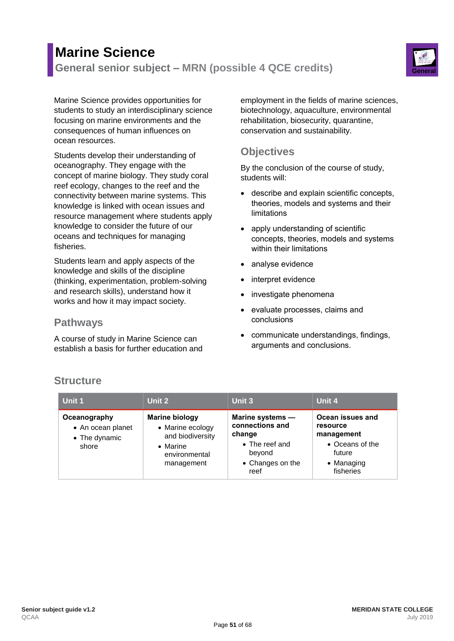# **Marine Science General senior subject – MRN (possible 4 QCE credits) General**



Marine Science provides opportunities for students to study an interdisciplinary science focusing on marine environments and the consequences of human influences on ocean resources.

Students develop their understanding of oceanography. They engage with the concept of marine biology. They study coral reef ecology, changes to the reef and the connectivity between marine systems. This knowledge is linked with ocean issues and resource management where students apply knowledge to consider the future of our oceans and techniques for managing fisheries.

Students learn and apply aspects of the knowledge and skills of the discipline (thinking, experimentation, problem-solving and research skills), understand how it works and how it may impact society.

#### **Pathways**

A course of study in Marine Science can establish a basis for further education and employment in the fields of marine sciences, biotechnology, aquaculture, environmental rehabilitation, biosecurity, quarantine, conservation and sustainability.

## **Objectives**

By the conclusion of the course of study, students will:

- describe and explain scientific concepts, theories, models and systems and their limitations
- apply understanding of scientific concepts, theories, models and systems within their limitations
- analyse evidence
- interpret evidence
- investigate phenomena
- evaluate processes, claims and conclusions
- communicate understandings, findings, arguments and conclusions.

### **Structure**

| Unit 1                                                      | Unit 2                                                                                                           | Unit 3                                                                                                | Unit 4                                                                                                     |
|-------------------------------------------------------------|------------------------------------------------------------------------------------------------------------------|-------------------------------------------------------------------------------------------------------|------------------------------------------------------------------------------------------------------------|
| Oceanography<br>• An ocean planet<br>• The dynamic<br>shore | <b>Marine biology</b><br>• Marine ecology<br>and biodiversity<br>$\bullet$ Marine<br>environmental<br>management | Marine systems -<br>connections and<br>change<br>• The reef and<br>beyond<br>• Changes on the<br>reef | Ocean issues and<br>resource<br>management<br>• Oceans of the<br>future<br>$\bullet$ Managing<br>fisheries |